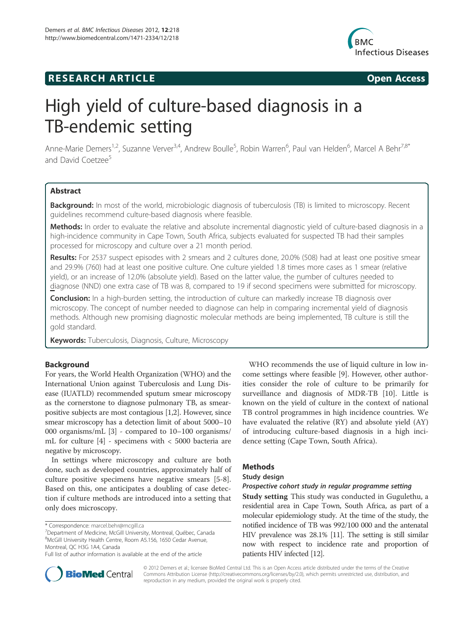# **RESEARCH ARTICLE Example 2014 CONSIDERING CONSIDERING CONSIDERING CONSIDERING CONSIDERING CONSIDERING CONSIDERING CONSIDERING CONSIDERING CONSIDERING CONSIDERING CONSIDERING CONSIDERING CONSIDERING CONSIDERING CONSIDE**



# High yield of culture-based diagnosis in a TB-endemic setting

Anne-Marie Demers<sup>1,2</sup>, Suzanne Verver<sup>3,4</sup>, Andrew Boulle<sup>5</sup>, Robin Warren<sup>6</sup>, Paul van Helden<sup>6</sup>, Marcel A Behr<sup>7,8\*</sup> and David Coetzee<sup>5</sup>

# Abstract

Background: In most of the world, microbiologic diagnosis of tuberculosis (TB) is limited to microscopy. Recent guidelines recommend culture-based diagnosis where feasible.

Methods: In order to evaluate the relative and absolute incremental diagnostic yield of culture-based diagnosis in a high-incidence community in Cape Town, South Africa, subjects evaluated for suspected TB had their samples processed for microscopy and culture over a 21 month period.

Results: For 2537 suspect episodes with 2 smears and 2 cultures done, 20.0% (508) had at least one positive smear and 29.9% (760) had at least one positive culture. One culture yielded 1.8 times more cases as 1 smear (relative yield), or an increase of 12.0% (absolute yield). Based on the latter value, the number of cultures needed to diagnose (NND) one extra case of TB was 8, compared to 19 if second specimens were submitted for microscopy.

**Conclusion:** In a high-burden setting, the introduction of culture can markedly increase TB diagnosis over microscopy. The concept of number needed to diagnose can help in comparing incremental yield of diagnosis methods. Although new promising diagnostic molecular methods are being implemented, TB culture is still the gold standard.

Keywords: Tuberculosis, Diagnosis, Culture, Microscopy

# Background

For years, the World Health Organization (WHO) and the International Union against Tuberculosis and Lung Disease (IUATLD) recommended sputum smear microscopy as the cornerstone to diagnose pulmonary TB, as smearpositive subjects are most contagious [1,2]. However, since smear microscopy has a detection limit of about 5000–10 000 organisms/mL [3] - compared to 10–100 organisms/ mL for culture [4] - specimens with < 5000 bacteria are negative by microscopy.

In settings where microscopy and culture are both done, such as developed countries, approximately half of culture positive specimens have negative smears [5-8]. Based on this, one anticipates a doubling of case detection if culture methods are introduced into a setting that only does microscopy.



# **Methods**

# Study design

### Prospective cohort study in regular programme setting

Study setting This study was conducted in Gugulethu, a residential area in Cape Town, South Africa, as part of a molecular epidemiology study. At the time of the study, the notified incidence of TB was 992/100 000 and the antenatal HIV prevalence was 28.1% [11]. The setting is still similar now with respect to incidence rate and proportion of patients HIV infected [12].



© 2012 Demers et al.; licensee BioMed Central Ltd. This is an Open Access article distributed under the terms of the Creative Commons Attribution License (http://creativecommons.org/licenses/by/2.0), which permits unrestricted use, distribution, and reproduction in any medium, provided the original work is properly cited.

<sup>\*</sup> Correspondence: marcel.behr@mcgill.ca <sup>7</sup>

Department of Medicine, McGill University, Montreal, Québec, Canada 8 McGill University Health Centre, Room A5.156, 1650 Cedar Avenue, Montreal, QC H3G 1A4, Canada

Full list of author information is available at the end of the article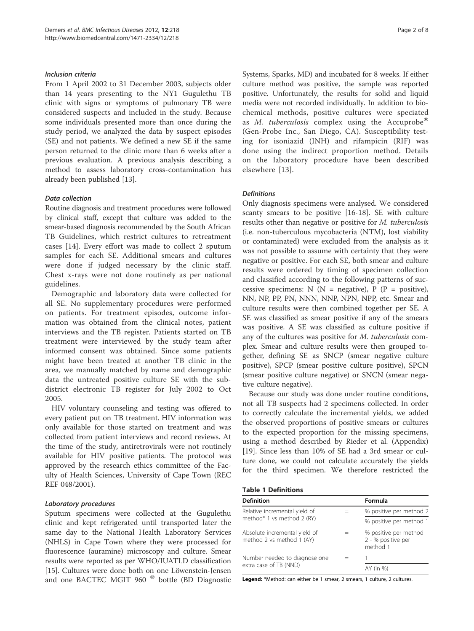# Inclusion criteria

From 1 April 2002 to 31 December 2003, subjects older than 14 years presenting to the NY1 Gugulethu TB clinic with signs or symptoms of pulmonary TB were considered suspects and included in the study. Because some individuals presented more than once during the study period, we analyzed the data by suspect episodes (SE) and not patients. We defined a new SE if the same person returned to the clinic more than 6 weeks after a previous evaluation. A previous analysis describing a method to assess laboratory cross-contamination has already been published [13].

# Data collection

Routine diagnosis and treatment procedures were followed by clinical staff, except that culture was added to the smear-based diagnosis recommended by the South African TB Guidelines, which restrict cultures to retreatment cases [14]. Every effort was made to collect 2 sputum samples for each SE. Additional smears and cultures were done if judged necessary by the clinic staff. Chest x-rays were not done routinely as per national guidelines.

Demographic and laboratory data were collected for all SE. No supplementary procedures were performed on patients. For treatment episodes, outcome information was obtained from the clinical notes, patient interviews and the TB register. Patients started on TB treatment were interviewed by the study team after informed consent was obtained. Since some patients might have been treated at another TB clinic in the area, we manually matched by name and demographic data the untreated positive culture SE with the subdistrict electronic TB register for July 2002 to Oct 2005.

HIV voluntary counseling and testing was offered to every patient put on TB treatment. HIV information was only available for those started on treatment and was collected from patient interviews and record reviews. At the time of the study, antiretrovirals were not routinely available for HIV positive patients. The protocol was approved by the research ethics committee of the Faculty of Health Sciences, University of Cape Town (REC REF 048/2001).

# Laboratory procedures

Sputum specimens were collected at the Gugulethu clinic and kept refrigerated until transported later the same day to the National Health Laboratory Services (NHLS) in Cape Town where they were processed for fluorescence (auramine) microscopy and culture. Smear results were reported as per WHO/IUATLD classification [15]. Cultures were done both on one Löwenstein-Jensen and one BACTEC MGIT 960<sup>®</sup> bottle (BD Diagnostic Systems, Sparks, MD) and incubated for 8 weeks. If either culture method was positive, the sample was reported positive. Unfortunately, the results for solid and liquid media were not recorded individually. In addition to biochemical methods, positive cultures were speciated as M. tuberculosis complex using the Accuprobe<sup>®</sup> (Gen-Probe Inc., San Diego, CA). Susceptibility testing for isoniazid (INH) and rifampicin (RIF) was done using the indirect proportion method. Details on the laboratory procedure have been described elsewhere [13].

# Definitions

Only diagnosis specimens were analysed. We considered scanty smears to be positive [16-18]. SE with culture results other than negative or positive for M. tuberculosis (i.e. non-tuberculous mycobacteria (NTM), lost viability or contaminated) were excluded from the analysis as it was not possible to assume with certainty that they were negative or positive. For each SE, both smear and culture results were ordered by timing of specimen collection and classified according to the following patterns of successive specimens:  $N (N = negative)$ ,  $P (P = positive)$ , NN, NP, PP, PN, NNN, NNP, NPN, NPP, etc. Smear and culture results were then combined together per SE. A SE was classified as smear positive if any of the smears was positive. A SE was classified as culture positive if any of the cultures was positive for M. tuberculosis complex. Smear and culture results were then grouped together, defining SE as SNCP (smear negative culture positive), SPCP (smear positive culture positive), SPCN (smear positive culture negative) or SNCN (smear negative culture negative).

Because our study was done under routine conditions, not all TB suspects had 2 specimens collected. In order to correctly calculate the incremental yields, we added the observed proportions of positive smears or cultures to the expected proportion for the missing specimens, using a method described by Rieder et al. (Appendix) [19]. Since less than 10% of SE had a 3rd smear or culture done, we could not calculate accurately the yields for the third specimen. We therefore restricted the

| <b>Definition</b>                                          | Formula                                                 |
|------------------------------------------------------------|---------------------------------------------------------|
| Relative incremental yield of                              | % positive per method 2                                 |
| method* 1 vs method 2 (RY)                                 | % positive per method 1                                 |
| Absolute incremental yield of<br>method 2 vs method 1 (AY) | % positive per method<br>2 - % positive per<br>method 1 |
| Number needed to diagnose one                              |                                                         |
| extra case of TB (NND)                                     | AY (in %)                                               |

Legend: \*Method: can either be 1 smear, 2 smears, 1 culture, 2 cultures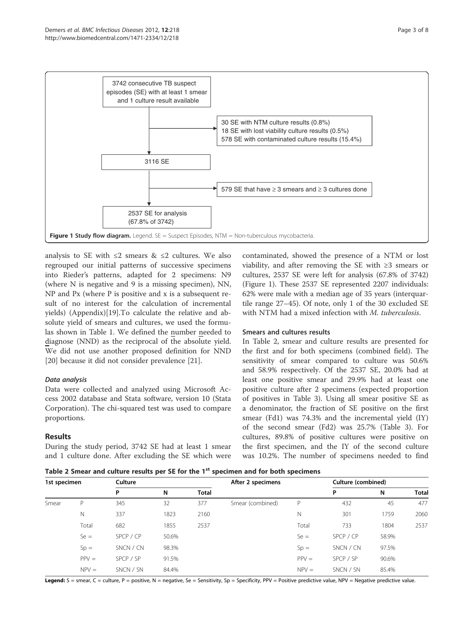

analysis to SE with ≤2 smears & ≤2 cultures. We also regrouped our initial patterns of successive specimens into Rieder's patterns, adapted for 2 specimens: N9 (where N is negative and 9 is a missing specimen), NN, NP and Px (where P is positive and x is a subsequent result of no interest for the calculation of incremental yields) (Appendix)[19].To calculate the relative and absolute yield of smears and cultures, we used the formulas shown in Table 1. We defined the number needed to diagnose (NND) as the reciprocal of the absolute yield. We did not use another proposed definition for NND [20] because it did not consider prevalence [21].

# Data analysis

Data were collected and analyzed using Microsoft Access 2002 database and Stata software, version 10 (Stata Corporation). The chi-squared test was used to compare proportions.

# Results

During the study period, 3742 SE had at least 1 smear and 1 culture done. After excluding the SE which were contaminated, showed the presence of a NTM or lost viability, and after removing the SE with ≥3 smears or cultures, 2537 SE were left for analysis (67.8% of 3742) (Figure 1). These 2537 SE represented 2207 individuals: 62% were male with a median age of 35 years (interquartile range 27–45). Of note, only 1 of the 30 excluded SE with NTM had a mixed infection with M. tuberculosis.

# Smears and cultures results

In Table 2, smear and culture results are presented for the first and for both specimens (combined field). The sensitivity of smear compared to culture was 50.6% and 58.9% respectively. Of the 2537 SE, 20.0% had at least one positive smear and 29.9% had at least one positive culture after 2 specimens (expected proportion of positives in Table 3). Using all smear positive SE as a denominator, the fraction of SE positive on the first smear (Fd1) was 74.3% and the incremental yield (IY) of the second smear (Fd2) was 25.7% (Table 3). For cultures, 89.8% of positive cultures were positive on the first specimen, and the IY of the second culture was 10.2%. The number of specimens needed to find

Table 2 Smear and culture results per SE for the 1<sup>st</sup> specimen and for both specimens

| 1st specimen |              | Culture   |       |              | After 2 specimens |         | Culture (combined) |       |              |
|--------------|--------------|-----------|-------|--------------|-------------------|---------|--------------------|-------|--------------|
|              |              | P         | N     | <b>Total</b> |                   |         | P                  | N     | <b>Total</b> |
| Smear        | P            | 345       | 32    | 377          | Smear (combined)  | P       | 432                | 45    | 477          |
|              | $\mathsf{N}$ | 337       | 1823  | 2160         |                   | N       | 301                | 1759  | 2060         |
|              | Total        | 682       | 1855  | 2537         |                   | Total   | 733                | 1804  | 2537         |
|              | $Se =$       | SPCP / CP | 50.6% |              |                   | $Se =$  | SPCP / CP          | 58.9% |              |
|              | $Sp =$       | SNCN / CN | 98.3% |              |                   | $Sp =$  | SNCN / CN          | 97.5% |              |
|              | $PPV =$      | SPCP / SP | 91.5% |              |                   | $PPV =$ | SPCP / SP          | 90.6% |              |
|              | $NPV =$      | SNCN / SN | 84.4% |              |                   | $NPV =$ | SNCN / SN          | 85.4% |              |

Legend: S = smear, C = culture, P = positive, N = negative, Se = Sensitivity, Sp = Specificity, PPV = Positive predictive value, NPV = Negative predictive value.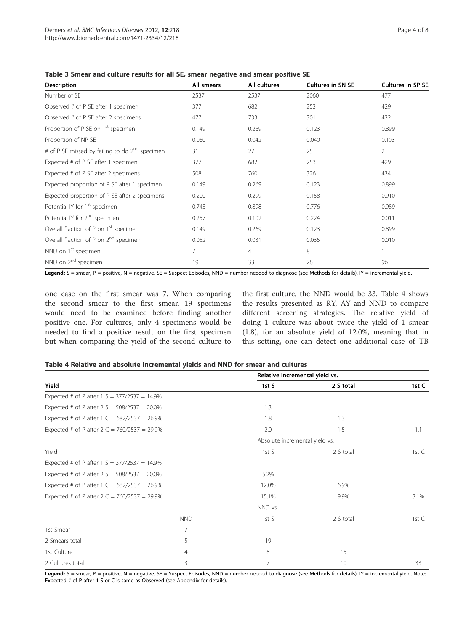| <b>Description</b>                                         | All smears | All cultures | <b>Cultures in SN SE</b> | <b>Cultures in SP SE</b> |
|------------------------------------------------------------|------------|--------------|--------------------------|--------------------------|
| Number of SE                                               | 2537       | 2537         | 2060                     | 477                      |
| Observed # of P SE after 1 specimen                        | 377        | 682          | 253                      | 429                      |
| Observed # of P SE after 2 specimens                       | 477        | 733          | 301                      | 432                      |
| Proportion of P SE on 1 <sup>st</sup> specimen             | 0.149      | 0.269        | 0.123                    | 0.899                    |
| Proportion of NP SE                                        | 0.060      | 0.042        | 0.040                    | 0.103                    |
| # of P SE missed by failing to do 2 <sup>nd</sup> specimen | 31         | 27           | 25                       | 2                        |
| Expected # of P SE after 1 specimen                        | 377        | 682          | 253                      | 429                      |
| Expected # of P SE after 2 specimens                       | 508        | 760          | 326                      | 434                      |
| Expected proportion of P SE after 1 specimen               | 0.149      | 0.269        | 0.123                    | 0.899                    |
| Expected proportion of P SE after 2 specimens              | 0.200      | 0.299        | 0.158                    | 0.910                    |
| Potential IY for 1 <sup>st</sup> specimen                  | 0.743      | 0.898        | 0.776                    | 0.989                    |
| Potential IY for 2 <sup>nd</sup> specimen                  | 0.257      | 0.102        | 0.224                    | 0.011                    |
| Overall fraction of P on 1 <sup>st</sup> specimen          | 0.149      | 0.269        | 0.123                    | 0.899                    |
| Overall fraction of P on 2 <sup>nd</sup> specimen          | 0.052      | 0.031        | 0.035                    | 0.010                    |
| NND on 1 <sup>st</sup> specimen                            | 7          | 4            | 8                        |                          |
| NND on 2 <sup>nd</sup> specimen                            | 19         | 33           | 28                       | 96                       |

Table 3 Smear and culture results for all SE, smear negative and smear positive SE

Legend: S = smear, P = positive, N = negative, SE = Suspect Episodes, NND = number needed to diagnose (see Methods for details), IY = incremental yield.

one case on the first smear was 7. When comparing the second smear to the first smear, 19 specimens would need to be examined before finding another positive one. For cultures, only 4 specimens would be needed to find a positive result on the first specimen but when comparing the yield of the second culture to

the first culture, the NND would be 33. Table 4 shows the results presented as RY, AY and NND to compare different screening strategies. The relative yield of doing 1 culture was about twice the yield of 1 smear (1.8), for an absolute yield of 12.0%, meaning that in this setting, one can detect one additional case of TB

#### Table 4 Relative and absolute incremental yields and NND for smear and cultures

|                                                 |            | Relative incremental yield vs. |           |         |
|-------------------------------------------------|------------|--------------------------------|-----------|---------|
| Yield                                           |            | 1st S                          | 2 S total | 1st C   |
| Expected # of P after $1 S = 377/2537 = 14.9\%$ |            |                                |           |         |
| Expected # of P after $2 S = 508/2537 = 20.0\%$ |            | 1.3                            |           |         |
| Expected # of P after $1 C = 682/2537 = 26.9\%$ |            | 1.8                            | 1.3       |         |
| Expected # of P after $2 C = 760/2537 = 29.9\%$ |            | 2.0                            | 1.5       | 1.1     |
|                                                 |            | Absolute incremental yield vs. |           |         |
| Yield                                           |            | 1st S                          | 2 S total | 1st $C$ |
| Expected # of P after $1 S = 377/2537 = 14.9\%$ |            |                                |           |         |
| Expected # of P after $2 S = 508/2537 = 20.0\%$ |            | 5.2%                           |           |         |
| Expected # of P after $1 C = 682/2537 = 26.9\%$ |            | 12.0%                          | 6.9%      |         |
| Expected # of P after $2 C = 760/2537 = 29.9\%$ |            | 15.1%                          | 9.9%      | 3.1%    |
|                                                 |            | NND vs.                        |           |         |
|                                                 | <b>NND</b> | 1st S                          | 2 S total | 1stC    |
| 1st Smear                                       | 7          |                                |           |         |
| 2 Smears total                                  | 5          | 19                             |           |         |
| 1st Culture                                     | 4          | 8                              | 15        |         |
| 2 Cultures total                                | 3          | 7                              | 10        | 33      |

Legend: S = smear, P = positive, N = negative, SE = Suspect Episodes, NND = number needed to diagnose (see Methods for details), IY = incremental yield. Note: Expected # of P after 1 S or C is same as Observed (see Appendix for details).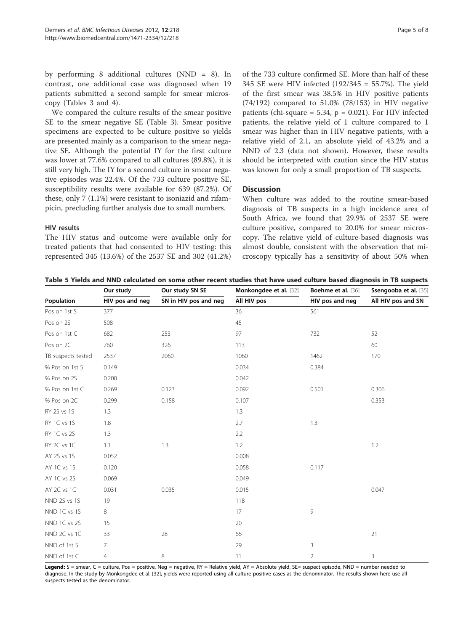by performing 8 additional cultures (NND = 8). In contrast, one additional case was diagnosed when 19 patients submitted a second sample for smear microscopy (Tables 3 and 4).

We compared the culture results of the smear positive SE to the smear negative SE (Table 3). Smear positive specimens are expected to be culture positive so yields are presented mainly as a comparison to the smear negative SE. Although the potential IY for the first culture was lower at 77.6% compared to all cultures (89.8%), it is still very high. The IY for a second culture in smear negative episodes was 22.4%. Of the 733 culture positive SE, susceptibility results were available for 639 (87.2%). Of these, only 7 (1.1%) were resistant to isoniazid and rifampicin, precluding further analysis due to small numbers.

# HIV results

The HIV status and outcome were available only for treated patients that had consented to HIV testing: this represented 345 (13.6%) of the 2537 SE and 302 (41.2%)

of the 733 culture confirmed SE. More than half of these 345 SE were HIV infected (192/345 = 55.7%). The yield of the first smear was 38.5% in HIV positive patients (74/192) compared to 51.0% (78/153) in HIV negative patients (chi-square =  $5.34$ , p = 0.021). For HIV infected patients, the relative yield of 1 culture compared to 1 smear was higher than in HIV negative patients, with a relative yield of 2.1, an absolute yield of 43.2% and a NND of 2.3 (data not shown). However, these results should be interpreted with caution since the HIV status was known for only a small proportion of TB suspects.

# **Discussion**

When culture was added to the routine smear-based diagnosis of TB suspects in a high incidence area of South Africa, we found that 29.9% of 2537 SE were culture positive, compared to 20.0% for smear microscopy. The relative yield of culture-based diagnosis was almost double, consistent with the observation that microscopy typically has a sensitivity of about 50% when

Table 5 Yields and NND calculated on some other recent studies that have used culture based diagnosis in TB suspects

|                    | Our study       | Our study SN SE       | Monkongdee et al. [32] | Boehme et al. [36] | Ssengooba et al. [35] |  |
|--------------------|-----------------|-----------------------|------------------------|--------------------|-----------------------|--|
| Population         | HIV pos and neg | SN in HIV pos and neg | All HIV pos            | HIV pos and neg    | All HIV pos and SN    |  |
| Pos on 1st S       | 377             |                       | 36                     | 561                |                       |  |
| Pos on 2S          | 508             |                       | 45                     |                    |                       |  |
| Pos on 1st C       | 682             | 253                   | 97                     | 732                | 52                    |  |
| Pos on 2C          | 760             | 326                   | 113                    |                    | 60                    |  |
| TB suspects tested | 2537            | 2060                  | 1060                   | 1462               | 170                   |  |
| % Pos on 1st S     | 0.149           |                       | 0.034                  | 0.384              |                       |  |
| % Pos on 2S        | 0.200           |                       | 0.042                  |                    |                       |  |
| % Pos on 1st C     | 0.269           | 0.123                 | 0.092                  | 0.501              | 0.306                 |  |
| % Pos on 2C        | 0.299           | 0.158                 | 0.107                  |                    | 0.353                 |  |
| RY 2S vs 1S        | 1.3             |                       | 1.3                    |                    |                       |  |
| RY 1C vs 1S        | $1.8\,$         |                       | 2.7                    | 1.3                |                       |  |
| RY 1C vs 2S        | 1.3             |                       | 2.2                    |                    |                       |  |
| RY 2C vs 1C        | 1.1             | 1.3                   | 1.2                    |                    | 1.2                   |  |
| AY 2S vs 1S        | 0.052           |                       | 0.008                  |                    |                       |  |
| AY 1C vs 1S        | 0.120           |                       | 0.058                  | 0.117              |                       |  |
| AY 1C vs 2S        | 0.069           |                       | 0.049                  |                    |                       |  |
| AY 2C vs 1C        | 0.031           | 0.035                 | 0.015                  |                    | 0.047                 |  |
| NND 2S vs 1S       | 19              |                       | 118                    |                    |                       |  |
| NND 1C vs 1S       | 8               |                       | 17                     | 9                  |                       |  |
| NND 1C vs 2S       | 15              |                       | 20                     |                    |                       |  |
| NND 2C vs 1C       | 33              | 28                    | 66                     |                    | 21                    |  |
| NND of 1st S       | 7               |                       | 29                     | 3                  |                       |  |
| NND of 1st C       | $\overline{4}$  | 8                     | 11                     | $\overline{2}$     | 3                     |  |

Legend: S = smear, C = culture, Pos = positive, Neg = negative, RY = Relative yield, AY = Absolute yield, SE= suspect episode, NND = number needed to diagnose. In the study by Monkongdee et al. [32], yields were reported using all culture positive cases as the denominator. The results shown here use all suspects tested as the denominator.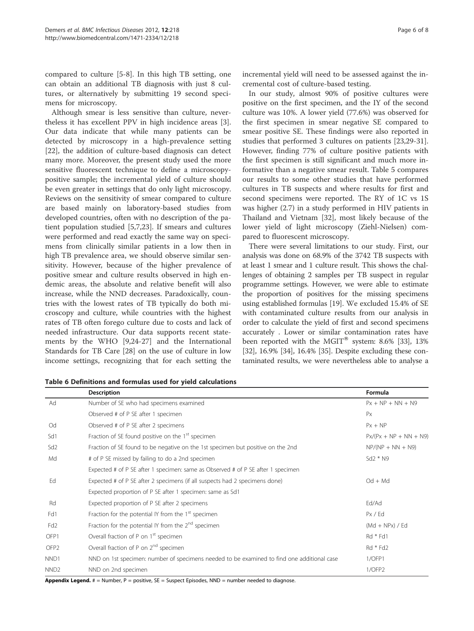compared to culture [5-8]. In this high TB setting, one can obtain an additional TB diagnosis with just 8 cultures, or alternatively by submitting 19 second specimens for microscopy.

Although smear is less sensitive than culture, nevertheless it has excellent PPV in high incidence areas [3]. Our data indicate that while many patients can be detected by microscopy in a high-prevalence setting [22], the addition of culture-based diagnosis can detect many more. Moreover, the present study used the more sensitive fluorescent technique to define a microscopypositive sample; the incremental yield of culture should be even greater in settings that do only light microscopy. Reviews on the sensitivity of smear compared to culture are based mainly on laboratory-based studies from developed countries, often with no description of the patient population studied [5,7,23]. If smears and cultures were performed and read exactly the same way on specimens from clinically similar patients in a low then in high TB prevalence area, we should observe similar sensitivity. However, because of the higher prevalence of positive smear and culture results observed in high endemic areas, the absolute and relative benefit will also increase, while the NND decreases. Paradoxically, countries with the lowest rates of TB typically do both microscopy and culture, while countries with the highest rates of TB often forego culture due to costs and lack of needed infrastructure. Our data supports recent statements by the WHO [9,24-27] and the International Standards for TB Care [28] on the use of culture in low income settings, recognizing that for each setting the

incremental yield will need to be assessed against the incremental cost of culture-based testing.

In our study, almost 90% of positive cultures were positive on the first specimen, and the IY of the second culture was 10%. A lower yield (77.6%) was observed for the first specimen in smear negative SE compared to smear positive SE. These findings were also reported in studies that performed 3 cultures on patients [23,29-31]. However, finding 77% of culture positive patients with the first specimen is still significant and much more informative than a negative smear result. Table 5 compares our results to some other studies that have performed cultures in TB suspects and where results for first and second specimens were reported. The RY of 1C vs 1S was higher (2.7) in a study performed in HIV patients in Thailand and Vietnam [32], most likely because of the lower yield of light microscopy (Ziehl-Nielsen) compared to fluorescent microscopy.

There were several limitations to our study. First, our analysis was done on 68.9% of the 3742 TB suspects with at least 1 smear and 1 culture result. This shows the challenges of obtaining 2 samples per TB suspect in regular programme settings. However, we were able to estimate the proportion of positives for the missing specimens using established formulas [19]. We excluded 15.4% of SE with contaminated culture results from our analysis in order to calculate the yield of first and second specimens accurately . Lower or similar contamination rates have been reported with the MGIT<sup>®</sup> system: 8.6% [33], 13% [32], 16.9% [34], 16.4% [35]. Despite excluding these contaminated results, we were nevertheless able to analyse a

**Description Formula** Ad Number of SE who had specimens examined **Part of SE who had specimens examined** Px + NP + NN + N9 Observed # of P SE after 1 specimen **Px** Od Observed # of P SE after 2 specimens **Px + NP**  $P_X + NP$ Sd1 Fraction of SE found positive on the 1<sup>st</sup> specimen **PX/(Px + NP + NN + N9)** Px/(Px + NP + NN + N9) Sd2 Fraction of SE found to be negative on the 1st specimen but positive on the 2nd NP/(NP + NN + N9) Md
# of P SE missed by failing to do a 2nd specimen
BM
3D
3D
3D
3D
3D
3D
3D
4 Expected # of P SE after 1 specimen: same as Observed # of P SE after 1 specimen Ed Expected # of P SE after 2 specimens (if all suspects had 2 specimens done) Od + Md Expected proportion of P SE after 1 specimen: same as Sd1 Rd Expected proportion of P SE after 2 specimens Ed/Ad Experiments Ed/Ad Faction for the potential IY from the 1<sup>st</sup> specimen Px / Ed extension Px / Ed extension Px / Ed extension Px / Ed Fd2 Fraction for the potential IY from the  $2^{nd}$  specimen (Md + NPx) / Ed = (Md + NPx) / Ed = (Md + NPx) / Ed OFP1 Overall fraction of P on 1<sup>st</sup> specimen COFP on the Second Second Second Second Second Second Second Second Second Second Second Second Second Second Second Second Second Second Second Second Second Second Second Seco OFP2 Overall fraction of P on 2<sup>nd</sup> specimen **COVERGING THE OVER SECT A** Rd \* Fd2 NND1 NND on 1st specimen: number of specimens needed to be examined to find one additional case 1/OFP1 NND2 NND on 2nd specimen 1/OFP2

Table 6 Definitions and formulas used for yield calculations

**Appendix Legend.**  $#$  = Number,  $P$  = positive, SE = Suspect Episodes, NND = number needed to diagnose.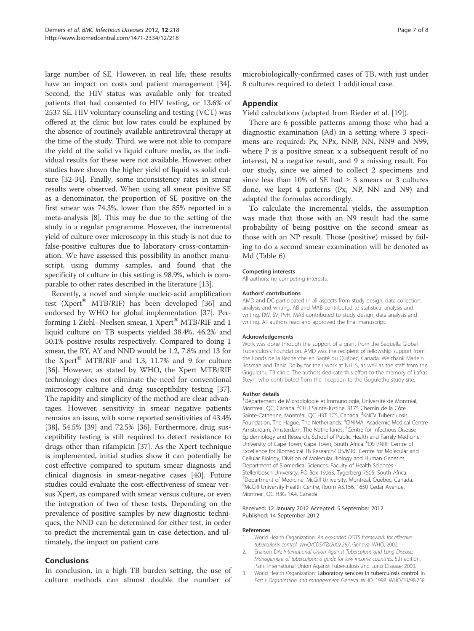large number of SE. However, in real life, these results have an impact on costs and patient management [34]. Second, the HIV status was available only for treated patients that had consented to HIV testing, or 13.6% of 2537 SE. HIV voluntary counseling and testing (VCT) was offered at the clinic but low rates could be explained by the absence of routinely available antiretroviral therapy at the time of the study. Third, we were not able to compare the yield of the solid vs liquid culture media, as the individual results for these were not available. However, other studies have shown the higher yield of liquid vs solid culture [32-34]. Finally, some inconsistency rates in smear results were observed. When using all smear positive SE as a denominator, the proportion of SE positive on the first smear was 74.3%, lower than the 85% reported in a meta-analysis [8]. This may be due to the setting of the study in a regular programme. However, the incremental yield of culture over microscopy in this study is not due to false-positive cultures due to laboratory cross-contamination. We have assessed this possibility in another manuscript, using dummy samples, and found that the specificity of culture in this setting is 98.9%, which is comparable to other rates described in the literature [13].

Recently, a novel and simple nucleic-acid amplification test (Xpert® MTB/RIF) has been developed [36] and endorsed by WHO for global implementation [37]. Performing 1 Ziehl–Neelsen smear, 1 Xpert® MTB/RIF and 1 liquid culture on TB suspects yielded 38.4%, 46.2% and 50.1% positive results respectively. Compared to doing 1 smear, the RY, AY and NND would be 1.2, 7.8% and 13 for the Xpert<sup>®</sup> MTB/RIF and 1.3, 11.7% and 9 for culture [36]. However, as stated by WHO, the Xpert MTB/RIF technology does not eliminate the need for conventional microscopy culture and drug susceptibility testing [37]. The rapidity and simplicity of the method are clear advantages. However, sensitivity in smear negative patients remains an issue, with some reported sensitivities of 43.4% [38], 54.5% [39] and 72.5% [36]. Furthermore, drug susceptibility testing is still required to detect resistance to drugs other than rifampicin [37]. As the Xpert technique is implemented, initial studies show it can potentially be cost-effective compared to sputum smear diagnosis and clinical diagnosis in smear-negative cases [40]. Future studies could evaluate the cost-effectiveness of smear versus Xpert, as compared with smear versus culture, or even the integration of two of these tests. Depending on the prevalence of positive samples by new diagnostic techniques, the NND can be determined for either test, in order to predict the incremental gain in case detection, and ultimately, the impact on patient care.

# Conclusions

In conclusion, in a high TB burden setting, the use of culture methods can almost double the number of

microbiologically-confirmed cases of TB, with just under 8 cultures required to detect 1 additional case.

# Appendix

Yield calculations (adapted from Rieder et al. [19]).

There are 6 possible patterns among those who had a diagnostic examination (Ad) in a setting where 3 specimens are required: Px, NPx, NNP, NN, NN9 and N99, where P is a positive smear, x a subsequent result of no interest, N a negative result, and 9 a missing result. For our study, since we aimed to collect 2 specimens and since less than 10% of SE had  $\geq$  3 smears or 3 cultures done, we kept 4 patterns (Px, NP, NN and N9) and adapted the formulas accordingly.

To calculate the incremental yields, the assumption was made that those with an N9 result had the same probability of being positive on the second smear as those with an NP result. Those (positive) missed by failing to do a second smear examination will be denoted as Md (Table 6).

# Competing interests

All authors: no competing interests.

#### Authors' contributions

AMD and DC participated in all aspects from study design, data collection, analysis and writing. AB and MAB contributed to statistical analysis and writing. RW, SV, PvH, MAB contributed to study design, data analysis and writing. All authors read and approved the final manuscript.

#### Acknowledgements

Work was done through the support of a grant from the Sequella Global Tuberculosis Foundation. AMD was the recipient of fellowship support from the Fonds de la Recherche en Santé du Québec, Canada. We thank Marlein Bosman and Tania Dolby for their work at NHLS, as well as the staff from the Gugulethu TB clinic. The authors dedicate this effort to the memory of Lafras Steyn, who contributed from the inception to the Gugulethu study site.

#### Author details

<sup>1</sup>Département de Microbiologie et Immunologie, Université de Montréal Montreal, QC, Canada. <sup>2</sup>CHU Sainte-Justine, 3175 Chemin de la Côte Sainte-Catherine, Montréal, QC H3T 1C5, Canada. <sup>3</sup>KNCV Tuberculosis Foundation, The Hague, The Netherlands. <sup>4</sup>CINIMA, Academic Medical Centre Amsterdam, Amsterdam, The Netherlands. <sup>5</sup>Centre for Infectious Disease Epidemiology and Research, School of Public Health and Family Medicine, University of Cape Town, Cape Town, South Africa. <sup>6</sup>DST/NRF Centre of Excellence for Biomedical TB Research/ US/MRC Centre for Molecular and Cellular Biology, Division of Molecular Biology and Human Genetics, Department of Biomedical Sciences, Faculty of Health Sciences - Stellenbosch University, PO Box 19063, Tygerberg 7505, South Africa. 7 Department of Medicine, McGill University, Montreal, Québec, Canada. 8 McGill University Health Centre, Room A5.156, 1650 Cedar Avenue, Montreal, QC H3G 1A4, Canada.

#### Received: 12 January 2012 Accepted: 5 September 2012 Published: 14 September 2012

#### References

- 1. World Health Organization: An expanded DOTS framework for effective tuberculosis control. WHO/CDS/TB/2002.297. Geneva: WHO; 2002.
- 2. Enarson DA: International Union Against Tuberculosis and Lung Disease: Management of tuberculosis: a guide for low income countries. 5th edition. Paris: International Union Against Tuberculosis and Lung Disease; 2000.
- 3. World Health Organization: Laboratory services in tuberculosis control. In Part I: Organization and management. Geneva: WHO; 1998. WHO/TB/98.258.